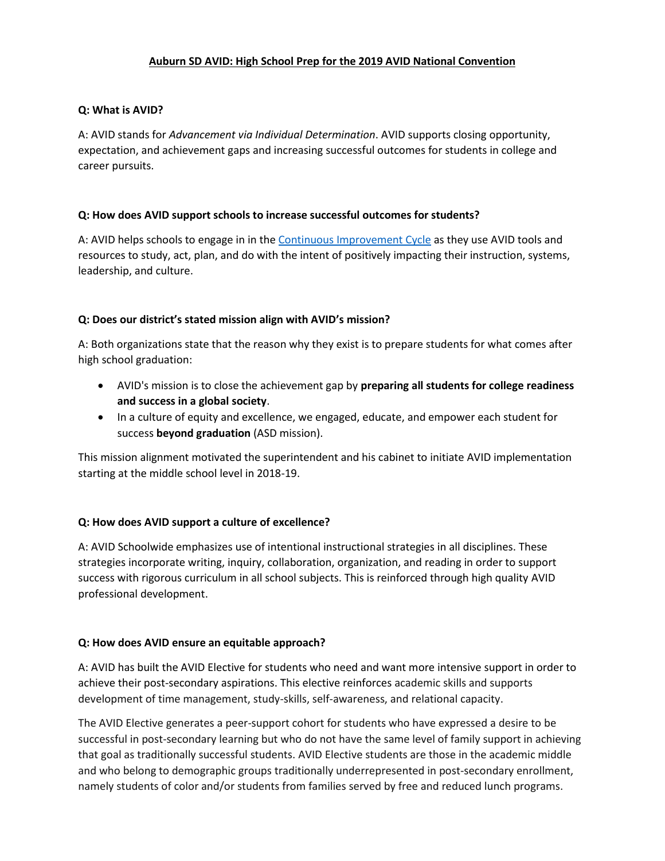## **Auburn SD AVID: High School Prep for the 2019 AVID National Convention**

### **Q: What is AVID?**

A: AVID stands for *Advancement via Individual Determination*. AVID supports closing opportunity, expectation, and achievement gaps and increasing successful outcomes for students in college and career pursuits.

### **Q: How does AVID support schools to increase successful outcomes for students?**

A: AVID helps schools to engage in in the [Continuous Improvement Cycle](https://drive.google.com/open?id=1lp4fwQdLEyST-rlRXEs6de69Numkh9UO) as they use AVID tools and resources to study, act, plan, and do with the intent of positively impacting their instruction, systems, leadership, and culture.

### **Q: Does our district's stated mission align with AVID's mission?**

A: Both organizations state that the reason why they exist is to prepare students for what comes after high school graduation:

- AVID's mission is to close the achievement gap by **preparing all students for college readiness and success in a global society**.
- In a culture of equity and excellence, we engaged, educate, and empower each student for success **beyond graduation** (ASD mission).

This mission alignment motivated the superintendent and his cabinet to initiate AVID implementation starting at the middle school level in 2018-19.

# **Q: How does AVID support a culture of excellence?**

A: AVID Schoolwide emphasizes use of intentional instructional strategies in all disciplines. These strategies incorporate writing, inquiry, collaboration, organization, and reading in order to support success with rigorous curriculum in all school subjects. This is reinforced through high quality AVID professional development.

#### **Q: How does AVID ensure an equitable approach?**

A: AVID has built the AVID Elective for students who need and want more intensive support in order to achieve their post-secondary aspirations. This elective reinforces academic skills and supports development of time management, study-skills, self-awareness, and relational capacity.

The AVID Elective generates a peer-support cohort for students who have expressed a desire to be successful in post-secondary learning but who do not have the same level of family support in achieving that goal as traditionally successful students. AVID Elective students are those in the academic middle and who belong to demographic groups traditionally underrepresented in post-secondary enrollment, namely students of color and/or students from families served by free and reduced lunch programs.